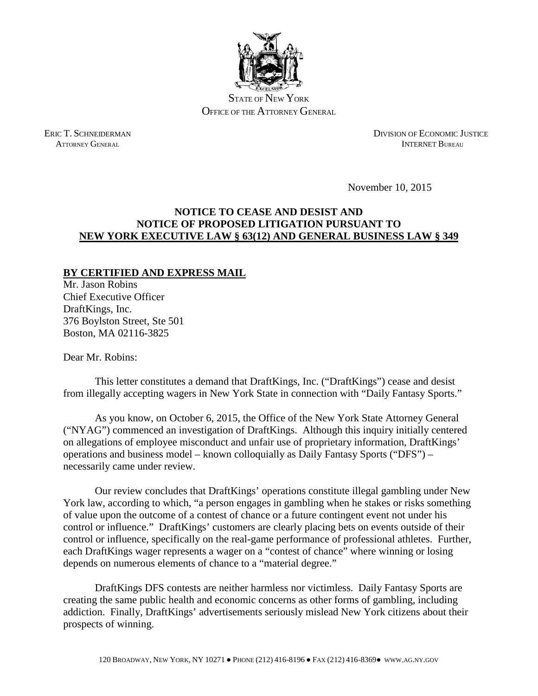

STATE OF NEW YORK OFFICE OF THE ATTORNEY GENERAL

ERIC T. SCHNEIDERMAN DIVISION OF ECONOMIC JUSTICE **ATTORNEY GENERAL INTERNET BUREAU** 

November 10, 2015

## **NOTICE TO CEASE AND DESIST AND NOTICE OF PROPOSED LITIGATION PURSUANT TO NEW YORK EXECUTIVE LAW § 63(12) AND GENERAL BUSINESS LAW § 349**

## **BY CERTIFIED AND EXPRESS MAIL**

Mr. Jason Robins Chief Executive Officer DraftKings, Inc. 376 Boylston Street, Ste 501 Boston, MA 02116-3825

Dear Mr. Robins:

This letter constitutes a demand that DraftKings, Inc. ("DraftKings") cease and desist from illegally accepting wagers in New York State in connection with "Daily Fantasy Sports."

As you know, on October 6, 2015, the Office of the New York State Attorney General ("NYAG") commenced an investigation of DraftKings. Although this inquiry initially centered on allegations of employee misconduct and unfair use of proprietary information, DraftKings' operations and business model – known colloquially as Daily Fantasy Sports ("DFS") – necessarily came under review.

Our review concludes that DraftKings' operations constitute illegal gambling under New York law, according to which, "a person engages in gambling when he stakes or risks something of value upon the outcome of a contest of chance or a future contingent event not under his control or influence." DraftKings' customers are clearly placing bets on events outside of their control or influence, specifically on the real-game performance of professional athletes. Further, each DraftKings wager represents a wager on a "contest of chance" where winning or losing depends on numerous elements of chance to a "material degree."

DraftKings DFS contests are neither harmless nor victimless. Daily Fantasy Sports are creating the same public health and economic concerns as other forms of gambling, including addiction. Finally, DraftKings' advertisements seriously mislead New York citizens about their prospects of winning.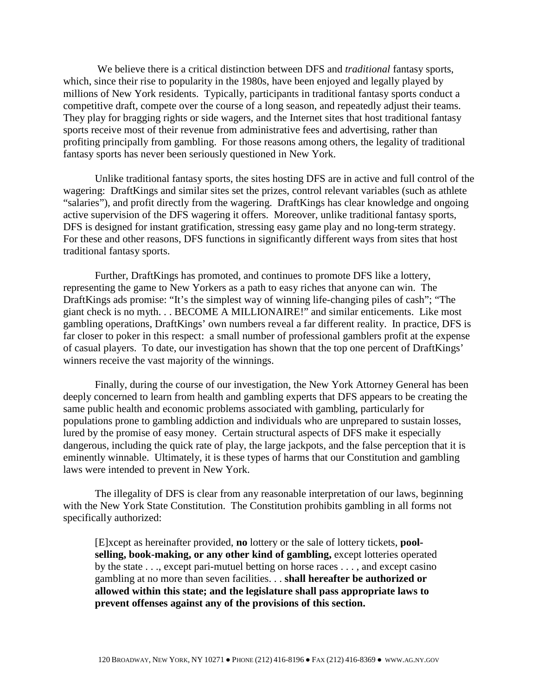We believe there is a critical distinction between DFS and *traditional* fantasy sports, which, since their rise to popularity in the 1980s, have been enjoyed and legally played by millions of New York residents. Typically, participants in traditional fantasy sports conduct a competitive draft, compete over the course of a long season, and repeatedly adjust their teams. They play for bragging rights or side wagers, and the Internet sites that host traditional fantasy sports receive most of their revenue from administrative fees and advertising, rather than profiting principally from gambling. For those reasons among others, the legality of traditional fantasy sports has never been seriously questioned in New York.

Unlike traditional fantasy sports, the sites hosting DFS are in active and full control of the wagering: DraftKings and similar sites set the prizes, control relevant variables (such as athlete "salaries"), and profit directly from the wagering. DraftKings has clear knowledge and ongoing active supervision of the DFS wagering it offers. Moreover, unlike traditional fantasy sports, DFS is designed for instant gratification, stressing easy game play and no long-term strategy. For these and other reasons, DFS functions in significantly different ways from sites that host traditional fantasy sports.

Further, DraftKings has promoted, and continues to promote DFS like a lottery, representing the game to New Yorkers as a path to easy riches that anyone can win. The DraftKings ads promise: "It's the simplest way of winning life-changing piles of cash"; "The giant check is no myth. . . BECOME A MILLIONAIRE!" and similar enticements. Like most gambling operations, DraftKings' own numbers reveal a far different reality. In practice, DFS is far closer to poker in this respect: a small number of professional gamblers profit at the expense of casual players. To date, our investigation has shown that the top one percent of DraftKings' winners receive the vast majority of the winnings.

Finally, during the course of our investigation, the New York Attorney General has been deeply concerned to learn from health and gambling experts that DFS appears to be creating the same public health and economic problems associated with gambling, particularly for populations prone to gambling addiction and individuals who are unprepared to sustain losses, lured by the promise of easy money. Certain structural aspects of DFS make it especially dangerous, including the quick rate of play, the large jackpots, and the false perception that it is eminently winnable. Ultimately, it is these types of harms that our Constitution and gambling laws were intended to prevent in New York.

The illegality of DFS is clear from any reasonable interpretation of our laws, beginning with the New York State Constitution. The Constitution prohibits gambling in all forms not specifically authorized:

[E]xcept as hereinafter provided, **no** lottery or the sale of lottery tickets, **poolselling, book-making, or any other kind of gambling,** except lotteries operated by the state . . ., except pari-mutuel betting on horse races . . . , and except casino gambling at no more than seven facilities. . . **shall hereafter be authorized or allowed within this state; and the legislature shall pass appropriate laws to prevent offenses against any of the provisions of this section.**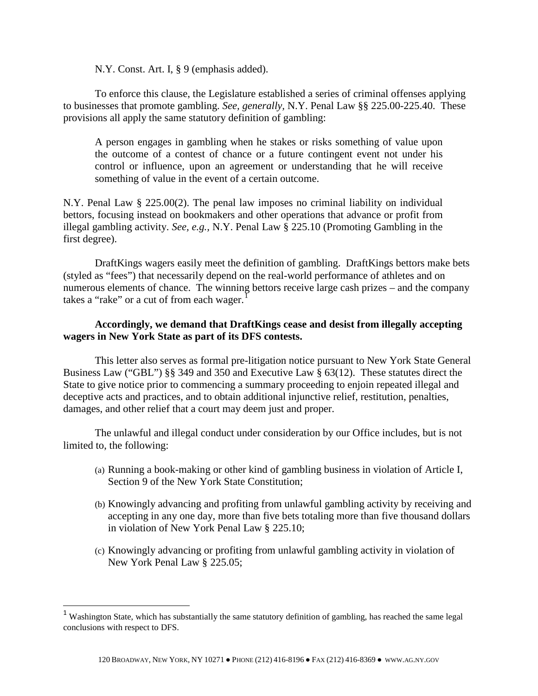N.Y. Const. Art. I, § 9 (emphasis added).

To enforce this clause, the Legislature established a series of criminal offenses applying to businesses that promote gambling. *See, generally,* N.Y. Penal Law §§ 225.00-225.40. These provisions all apply the same statutory definition of gambling:

A person engages in gambling when he stakes or risks something of value upon the outcome of a contest of chance or a future contingent event not under his control or influence, upon an agreement or understanding that he will receive something of value in the event of a certain outcome.

N.Y. Penal Law § 225.00(2). The penal law imposes no criminal liability on individual bettors, focusing instead on bookmakers and other operations that advance or profit from illegal gambling activity. *See, e.g.,* N.Y. Penal Law § 225.10 (Promoting Gambling in the first degree).

DraftKings wagers easily meet the definition of gambling. DraftKings bettors make bets (styled as "fees") that necessarily depend on the real-world performance of athletes and on numerous elements of chance. The winning bettors receive large cash prizes – and the company takes a "rake" or a cut of from each wager.<sup>1</sup>

## **Accordingly, we demand that DraftKings cease and desist from illegally accepting wagers in New York State as part of its DFS contests.**

This letter also serves as formal pre-litigation notice pursuant to New York State General Business Law ("GBL") §§ 349 and 350 and Executive Law § 63(12). These statutes direct the State to give notice prior to commencing a summary proceeding to enjoin repeated illegal and deceptive acts and practices, and to obtain additional injunctive relief, restitution, penalties, damages, and other relief that a court may deem just and proper.

The unlawful and illegal conduct under consideration by our Office includes, but is not limited to, the following:

- (a) Running a book-making or other kind of gambling business in violation of Article I, Section 9 of the New York State Constitution;
- (b) Knowingly advancing and profiting from unlawful gambling activity by receiving and accepting in any one day, more than five bets totaling more than five thousand dollars in violation of New York Penal Law § 225.10;
- (c) Knowingly advancing or profiting from unlawful gambling activity in violation of New York Penal Law § 225.05;

 $\overline{a}$ 

<sup>&</sup>lt;sup>1</sup> Washington State, which has substantially the same statutory definition of gambling, has reached the same legal conclusions with respect to DFS.